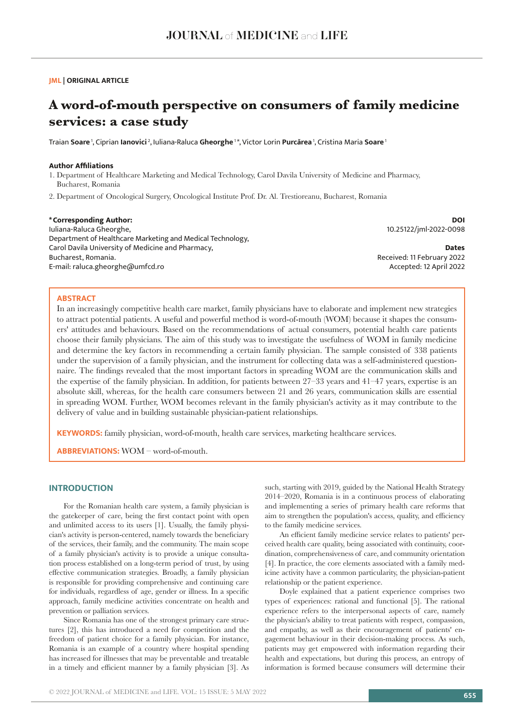## **JML | ORIGINAL ARTICLE**

# **A word-of-mouth perspective on consumers of family medicine services: a case study**

Traian **Soare** 1, Ciprian **Ianovici** 2, Iuliana-Raluca **Gheorghe** 1 \*, Victor Lorin **Purcărea** 1, Cristina Maria **Soare**<sup>1</sup>

## **Author Affiliations**

- 1. Department of Healthcare Marketing and Medical Technology, Carol Davila University of Medicine and Pharmacy, Bucharest, Romania
- 2. Department of Oncological Surgery, Oncological Institute Prof. Dr. Al. Trestioreanu, Bucharest, Romania

#### **\*Corresponding Author:**

Iuliana-Raluca Gheorghe, Department of Healthcare Marketing and Medical Technology, Carol Davila University of Medicine and Pharmacy, Bucharest, Romania. E-mail: raluca.gheorghe@umfcd.ro

**DOI** 10.25122/jml-2022-0098

**Dates** Received: 11 February 2022 Accepted: 12 April 2022

## **ABSTRACT**

In an increasingly competitive health care market, family physicians have to elaborate and implement new strategies to attract potential patients. A useful and powerful method is word-of-mouth (WOM) because it shapes the consumers' attitudes and behaviours. Based on the recommendations of actual consumers, potential health care patients choose their family physicians. The aim of this study was to investigate the usefulness of WOM in family medicine and determine the key factors in recommending a certain family physician. The sample consisted of 338 patients under the supervision of a family physician, and the instrument for collecting data was a self-administered questionnaire. The findings revealed that the most important factors in spreading WOM are the communication skills and the expertise of the family physician. In addition, for patients between 27–33 years and 41–47 years, expertise is an absolute skill, whereas, for the health care consumers between 21 and 26 years, communication skills are essential in spreading WOM. Further, WOM becomes relevant in the family physician's activity as it may contribute to the delivery of value and in building sustainable physician-patient relationships.

**KEYWORDS:** family physician, word-of-mouth, health care services, marketing healthcare services.

**ABBREVIATIONS:** WOM – word-of-mouth.

# **INTRODUCTION**

For the Romanian health care system, a family physician is the gatekeeper of care, being the first contact point with open and unlimited access to its users [1]. Usually, the family physician's activity is person-centered, namely towards the beneficiary of the services, their family, and the community. The main scope of a family physician's activity is to provide a unique consultation process established on a long-term period of trust, by using effective communication strategies. Broadly, a family physician is responsible for providing comprehensive and continuing care for individuals, regardless of age, gender or illness. In a specific approach, family medicine activities concentrate on health and prevention or palliation services.

Since Romania has one of the strongest primary care structures [2], this has introduced a need for competition and the freedom of patient choice for a family physician. For instance, Romania is an example of a country where hospital spending has increased for illnesses that may be preventable and treatable in a timely and efficient manner by a family physician [3]. As such, starting with 2019, guided by the National Health Strategy 2014–2020, Romania is in a continuous process of elaborating and implementing a series of primary health care reforms that aim to strengthen the population's access, quality, and efficiency to the family medicine services.

An efficient family medicine service relates to patients' perceived health care quality, being associated with continuity, coordination, comprehensiveness of care, and community orientation [4]. In practice, the core elements associated with a family medicine activity have a common particularity, the physician-patient relationship or the patient experience.

Doyle explained that a patient experience comprises two types of experiences: rational and functional [5]. The rational experience refers to the interpersonal aspects of care, namely the physician's ability to treat patients with respect, compassion, and empathy, as well as their encouragement of patients' engagement behaviour in their decision-making process. As such, patients may get empowered with information regarding their health and expectations, but during this process, an entropy of information is formed because consumers will determine their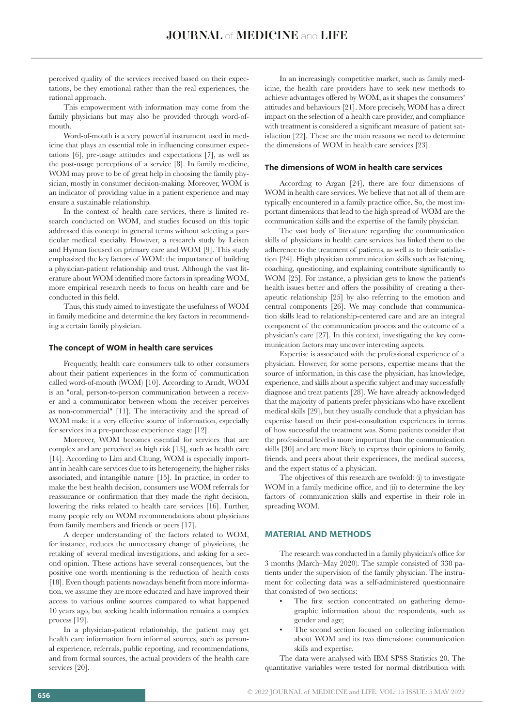perceived quality of the services received based on their expectations, be they emotional rather than the real experiences, the rational approach.

This empowerment with information may come from the family physicians but may also be provided through word-ofmouth.

Word-of-mouth is a very powerful instrument used in medicine that plays an essential role in influencing consumer expectations [6], pre-usage attitudes and expectations [7], as well as the post-usage perceptions of a service [8]. In family medicine, WOM may prove to be of great help in choosing the family physician, mostly in consumer decision-making. Moreover, WOM is an indicator of providing value in a patient experience and may ensure a sustainable relationship.

In the context of health care services, there is limited research conducted on WOM, and studies focused on this topic addressed this concept in general terms without selecting a particular medical specialty. However, a research study by Leisen and Hyman focused on primary care and WOM [9]. This study emphasized the key factors of WOM: the importance of building a physician-patient relationship and trust. Although the vast literature about WOM identified more factors in spreading WOM, more empirical research needs to focus on health care and be conducted in this field.

Thus, this study aimed to investigate the usefulness of WOM in family medicine and determine the key factors in recommending a certain family physician.

## **The concept of WOM in health care services**

Frequently, health care consumers talk to other consumers about their patient experiences in the form of communication called word-of-mouth (WOM) [10]. According to Arndt, WOM is an "oral, person-to-person communication between a receiver and a communicator between whom the receiver perceives as non-commercial" [11]. The interactivity and the spread of WOM make it a very effective source of information, especially for services in a pre-purchase experience stage [12].

Moreover, WOM becomes essential for services that are complex and are perceived as high risk [13], such as health care [14]. According to Lim and Chung, WOM is especially important in health care services due to its heterogeneity, the higher risks associated, and intangible nature [15]. In practice, in order to make the best health decision, consumers use WOM referrals for reassurance or confirmation that they made the right decision, lowering the risks related to health care services [16]. Further, many people rely on WOM recommendations about physicians from family members and friends or peers [17].

A deeper understanding of the factors related to WOM, for instance, reduces the unnecessary change of physicians, the retaking of several medical investigations, and asking for a second opinion. These actions have several consequences, but the positive one worth mentioning is the reduction of health costs [18]. Even though patients nowadays benefit from more information, we assume they are more educated and have improved their access to various online sources compared to what happened 10 years ago, but seeking health information remains a complex process [19].

In a physician-patient relationship, the patient may get health care information from informal sources, such as personal experience, referrals, public reporting, and recommendations, and from formal sources, the actual providers of the health care services [20].

In an increasingly competitive market, such as family medicine, the health care providers have to seek new methods to achieve advantages offered by WOM, as it shapes the consumers' attitudes and behaviours [21]. More precisely, WOM has a direct impact on the selection of a health care provider, and compliance with treatment is considered a significant measure of patient satisfaction [22]. These are the main reasons we need to determine the dimensions of WOM in health care services [23].

#### **The dimensions of WOM in health care services**

According to Argan [24], there are four dimensions of WOM in health care services. We believe that not all of them are typically encountered in a family practice office. So, the most important dimensions that lead to the high spread of WOM are the communication skills and the expertise of the family physician.

The vast body of literature regarding the communication skills of physicians in health care services has linked them to the adherence to the treatment of patients, as well as to their satisfaction [24]. High physician communication skills such as listening, coaching, questioning, and explaining contribute significantly to WOM [25]. For instance, a physician gets to know the patient's health issues better and offers the possibility of creating a therapeutic relationship [25] by also referring to the emotion and central components [26]. We may conclude that communication skills lead to relationship-centered care and are an integral component of the communication process and the outcome of a physician's care [27]. In this context, investigating the key communication factors may uncover interesting aspects.

Expertise is associated with the professional experience of a physician. However, for some persons, expertise means that the source of information, in this case the physician, has knowledge, experience, and skills about a specific subject and may successfully diagnose and treat patients [28]. We have already acknowledged that the majority of patients prefer physicians who have excellent medical skills [29], but they usually conclude that a physician has expertise based on their post-consultation experiences in terms of how successful the treatment was. Some patients consider that the professional level is more important than the communication skills [30] and are more likely to express their opinions to family, friends, and peers about their experiences, the medical success, and the expert status of a physician.

The objectives of this research are twofold: (i) to investigate WOM in a family medicine office, and (ii) to determine the key factors of communication skills and expertise in their role in spreading WOM.

## **MATERIAL AND METHODS**

The research was conducted in a family physician's office for 3 months (March–May 2020). The sample consisted of 338 patients under the supervision of the family physician. The instrument for collecting data was a self-administered questionnaire that consisted of two sections:

- The first section concentrated on gathering demographic information about the respondents, such as gender and age;
- The second section focused on collecting information about WOM and its two dimensions: communication skills and expertise.

The data were analysed with IBM SPSS Statistics 20. The quantitative variables were tested for normal distribution with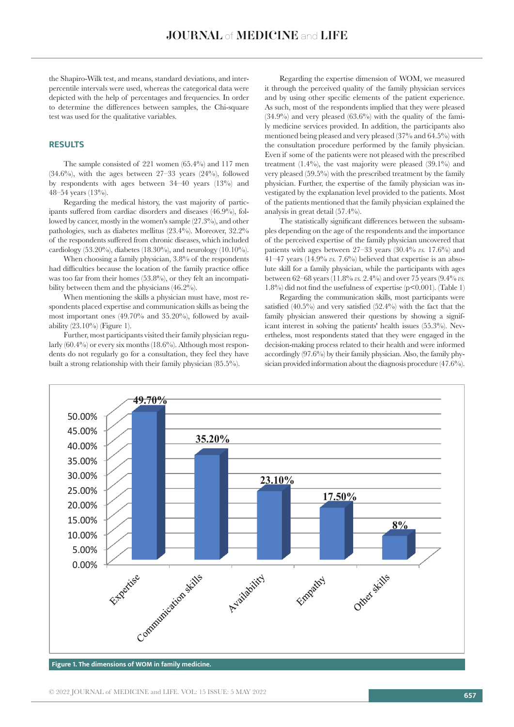the Shapiro-Wilk test, and means, standard deviations, and interpercentile intervals were used, whereas the categorical data were depicted with the help of percentages and frequencies. In order to determine the differences between samples, the Chi-square test was used for the qualitative variables.

## **RESULTS**

The sample consisted of 221 women (65.4%) and 117 men  $(34.6\%)$ , with the ages between  $27-33$  years  $(24\%)$ , followed by respondents with ages between 34–40 years (13%) and 48–54 years (13%).

Regarding the medical history, the vast majority of participants suffered from cardiac disorders and diseases (46.9%), followed by cancer, mostly in the women's sample (27.3%), and other pathologies, such as diabetes mellitus (23.4%). Moreover, 32.2% of the respondents suffered from chronic diseases, which included cardiology (53.20%), diabetes (18.30%), and neurology (10.10%).

When choosing a family physician, 3.8% of the respondents had difficulties because the location of the family practice office was too far from their homes (53.8%), or they felt an incompatibility between them and the physicians (46.2%).

When mentioning the skills a physician must have, most respondents placed expertise and communication skills as being the most important ones (49.70% and 35.20%), followed by availability (23.10%) (Figure 1).

Further, most participants visited their family physician regularly (60.4%) or every six months (18.6%). Although most respondents do not regularly go for a consultation, they feel they have built a strong relationship with their family physician (85.5%).

Regarding the expertise dimension of WOM, we measured it through the perceived quality of the family physician services and by using other specific elements of the patient experience. As such, most of the respondents implied that they were pleased  $(34.9\%)$  and very pleased  $(63.6\%)$  with the quality of the family medicine services provided. In addition, the participants also mentioned being pleased and very pleased (37% and 64.5%) with the consultation procedure performed by the family physician. Even if some of the patients were not pleased with the prescribed treatment (1.4%), the vast majority were pleased (39.1%) and very pleased (59.5%) with the prescribed treatment by the family physician. Further, the expertise of the family physician was investigated by the explanation level provided to the patients. Most of the patients mentioned that the family physician explained the analysis in great detail (57.4%).

The statistically significant differences between the subsamples depending on the age of the respondents and the importance of the perceived expertise of the family physician uncovered that patients with ages between 27–33 years (30.4% *vs.* 17.6%) and  $41-47$  years  $(14.9\% \text{ vs. } 7.6\%)$  believed that expertise is an absolute skill for a family physician, while the participants with ages between 62–68 years (11.8% *vs.* 2.4%) and over 75 years (9.4% *vs.* 1.8%) did not find the usefulness of expertise (p<0.001). (Table 1)

Regarding the communication skills, most participants were satisfied (40.5%) and very satisfied (52.4%) with the fact that the family physician answered their questions by showing a significant interest in solving the patients' health issues (55.3%). Nevertheless, most respondents stated that they were engaged in the decision-making process related to their health and were informed accordingly (97.6%) by their family physician. Also, the family physician provided information about the diagnosis procedure (47.6%).



**Figure 1. The dimensions of WOM in family medicine.**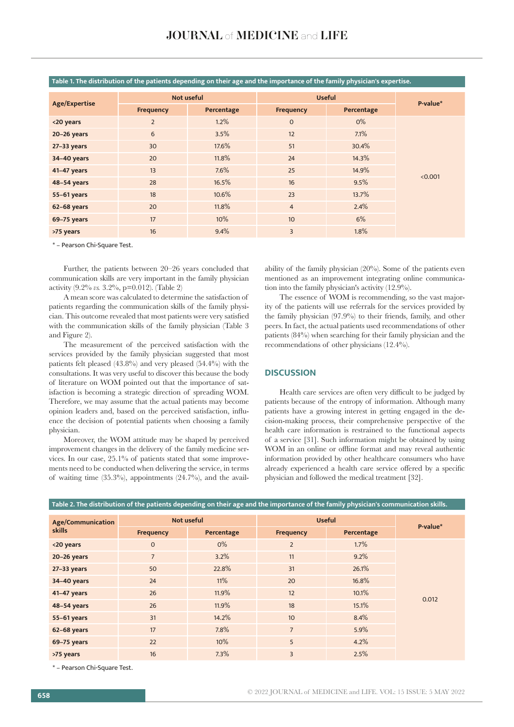| Age/Expertise | Not useful       |            | <b>Useful</b>    |            |          |
|---------------|------------------|------------|------------------|------------|----------|
|               | <b>Frequency</b> | Percentage | Frequency        | Percentage | P-value* |
| <20 years     | $\overline{2}$   | 1.2%       | $\mathbf{0}$     | $0\%$      | < 0.001  |
| $20-26$ years | 6                | 3.5%       | 12               | 7.1%       |          |
| $27-33$ years | 30               | 17.6%      | 51               | 30.4%      |          |
| 34-40 years   | 20               | 11.8%      | 24               | 14.3%      |          |
| 41-47 years   | 13               | 7.6%       | 25               | 14.9%      |          |
| 48-54 years   | 28               | 16.5%      | 16               | 9.5%       |          |
| 55-61 years   | 18               | 10.6%      | 23               | 13.7%      |          |
| 62-68 years   | 20               | 11.8%      | $\overline{4}$   | 2.4%       |          |
| 69-75 years   | 17               | 10%        | 10 <sup>10</sup> | 6%         |          |
| >75 years     | 16               | 9.4%       | $\overline{3}$   | 1.8%       |          |

**Table 1. The distribution of the patients depending on their age and the importance of the family physician's expertise.**

\* – Pearson Chi-Square Test.

Further, the patients between 20–26 years concluded that communication skills are very important in the family physician activity (9.2% *vs.* 3.2%, p=0.012). (Table 2)

A mean score was calculated to determine the satisfaction of patients regarding the communication skills of the family physician. This outcome revealed that most patients were very satisfied with the communication skills of the family physician (Table 3 and Figure 2).

The measurement of the perceived satisfaction with the services provided by the family physician suggested that most patients felt pleased (43.8%) and very pleased (54.4%) with the consultations. It was very useful to discover this because the body of literature on WOM pointed out that the importance of satisfaction is becoming a strategic direction of spreading WOM. Therefore, we may assume that the actual patients may become opinion leaders and, based on the perceived satisfaction, influence the decision of potential patients when choosing a family physician.

Moreover, the WOM attitude may be shaped by perceived improvement changes in the delivery of the family medicine services. In our case, 25.1% of patients stated that some improvements need to be conducted when delivering the service, in terms of waiting time  $(35.3\%)$ , appointments  $(24.7\%)$ , and the availability of the family physician (20%). Some of the patients even mentioned as an improvement integrating online communication into the family physician's activity (12.9%).

The essence of WOM is recommending, so the vast majority of the patients will use referrals for the services provided by the family physician (97.9%) to their friends, family, and other peers. In fact, the actual patients used recommendations of other patients (84%) when searching for their family physician and the recommendations of other physicians (12.4%).

## **DISCUSSION**

Health care services are often very difficult to be judged by patients because of the entropy of information. Although many patients have a growing interest in getting engaged in the decision-making process, their comprehensive perspective of the health care information is restrained to the functional aspects of a service [31]. Such information might be obtained by using WOM in an online or offline format and may reveal authentic information provided by other healthcare consumers who have already experienced a health care service offered by a specific physician and followed the medical treatment [32].

| <b>Age/Communication</b><br><b>skills</b> | Not useful       |            | <b>Useful</b>    |            | P-value* |
|-------------------------------------------|------------------|------------|------------------|------------|----------|
|                                           | <b>Frequency</b> | Percentage | <b>Frequency</b> | Percentage |          |
| <20 years                                 | $\mathbf{0}$     | $0\%$      | $\overline{2}$   | 1.7%       | 0.012    |
| 20-26 years                               | $\overline{7}$   | 3.2%       | 11               | 9.2%       |          |
| $27-33$ years                             | 50               | 22.8%      | 31               | 26.1%      |          |
| 34-40 years                               | 24               | 11%        | 20               | 16.8%      |          |
| 41-47 years                               | 26               | 11.9%      | 12               | 10.1%      |          |
| 48-54 years                               | 26               | 11.9%      | 18               | 15.1%      |          |
| 55-61 years                               | 31               | 14.2%      | 10 <sup>10</sup> | 8.4%       |          |
| 62-68 years                               | 17               | 7.8%       | $\overline{7}$   | 5.9%       |          |
| 69-75 years                               | 22               | 10%        | 5                | 4.2%       |          |
| >75 years                                 | 16               | 7.3%       | 3                | 2.5%       |          |

**Table 2. The distribution of the patients depending on their age and the importance of the family physician's communication skills.**

\* – Pearson Chi-Square Test.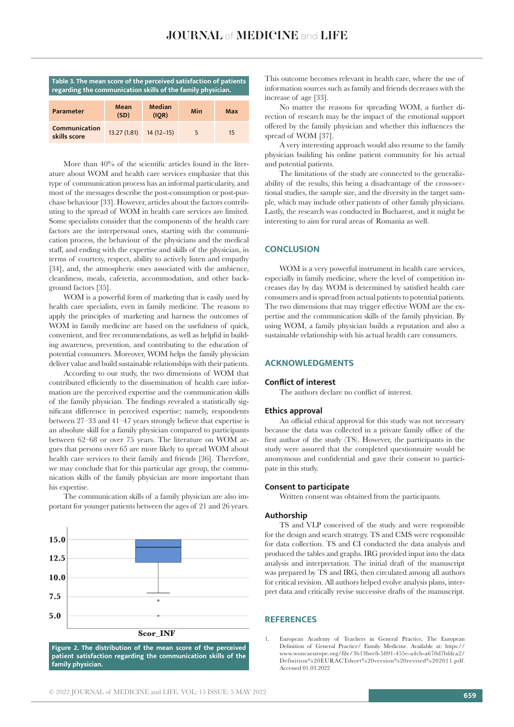| Table 3. The mean score of the perceived satisfaction of patients<br>regarding the communication skills of the family physician. |              |                        |     |     |  |  |  |  |
|----------------------------------------------------------------------------------------------------------------------------------|--------------|------------------------|-----|-----|--|--|--|--|
| Parameter                                                                                                                        | Mean<br>(SD) | <b>Median</b><br>(IOR) | Min | Max |  |  |  |  |
| Communication<br>skills score                                                                                                    | 13.27(1.81)  | $14(12-15)$            | 5   | 15  |  |  |  |  |

More than 40% of the scientific articles found in the literature about WOM and health care services emphasize that this type of communication process has an informal particularity, and most of the messages describe the post-consumption or post-purchase behaviour [33]. However, articles about the factors contributing to the spread of WOM in health care services are limited. Some specialists consider that the components of the health care factors are the interpersonal ones, starting with the communication process, the behaviour of the physicians and the medical staff, and ending with the expertise and skills of the physician, in terms of courtesy, respect, ability to actively listen and empathy [34], and, the atmospheric ones associated with the ambience, cleanliness, meals, cafeteria, accommodation, and other background factors [35].

WOM is a powerful form of marketing that is easily used by health care specialists, even in family medicine. The reasons to apply the principles of marketing and harness the outcomes of WOM in family medicine are based on the usefulness of quick, convenient, and free recommendations, as well as helpful in building awareness, prevention, and contributing to the education of potential consumers. Moreover, WOM helps the family physician deliver value and build sustainable relationships with their patients.

According to our study, the two dimensions of WOM that contributed efficiently to the dissemination of health care information are the perceived expertise and the communication skills of the family physician. The findings revealed a statistically significant difference in perceived expertise; namely, respondents between 27–33 and 41–47 years strongly believe that expertise is an absolute skill for a family physician compared to participants between 62–68 or over 75 years. The literature on WOM argues that persons over 65 are more likely to spread WOM about health care services to their family and friends [36]. Therefore, we may conclude that for this particular age group, the communication skills of the family physician are more important than his expertise.

The communication skills of a family physician are also important for younger patients between the ages of 21 and 26 years.



**Figure 2. The distribution of the mean score of the perceived patient satisfaction regarding the communication skills of the family physician.**

This outcome becomes relevant in health care, where the use of information sources such as family and friends decreases with the increase of age [33].

No matter the reasons for spreading WOM, a further direction of research may be the impact of the emotional support offered by the family physician and whether this influences the spread of WOM [37].

A very interesting approach would also resume to the family physician building his online patient community for his actual and potential patients.

The limitations of the study are connected to the generalizability of the results, this being a disadvantage of the cross-sectional studies, the sample size, and the diversity in the target sample, which may include other patients of other family physicians. Lastly, the research was conducted in Bucharest, and it might be interesting to aim for rural areas of Romania as well.

# **CONCLUSION**

WOM is a very powerful instrument in health care services, especially in family medicine, where the level of competition increases day by day. WOM is determined by satisfied health care consumers and is spread from actual patients to potential patients. The two dimensions that may trigger effective WOM are the expertise and the communication skills of the family physician. By using WOM, a family physician builds a reputation and also a sustainable relationship with his actual health care consumers.

## **ACKNOWLEDGMENTS**

#### **Conflict of interest**

The authors declare no conflict of interest.

#### **Ethics approval**

An official ethical approval for this study was not necessary because the data was collected in a private family office of the first author of the study (TS). However, the participants in the study were assured that the completed questionnaire would be anonymous and confidential and gave their consent to participate in this study.

#### **Consent to participate**

Written consent was obtained from the participants.

#### **Authorship**

TS and VLP conceived of the study and were responsible for the design and search strategy. TS and CMS were responsible for data collection. TS and CI conducted the data analysis and produced the tables and graphs. IRG provided input into the data analysis and interpretation. The initial draft of the manuscript was prepared by TS and IRG, then circulated among all authors for critical revision. All authors helped evolve analysis plans, interpret data and critically revise successive drafts of the manuscript.

#### **REFERENCES**

1. European Academy of Teachers in General Practice, The European Definition of General Practice/ Family Medicine. Available at: https:// www.woncaeurope.org/file/3b13bee8-5891-455e-a4cb-a670d7bfdca2/ Definition%20EURACTshort%20version%20revised%202011.pdf. Accessed 01.03.2022